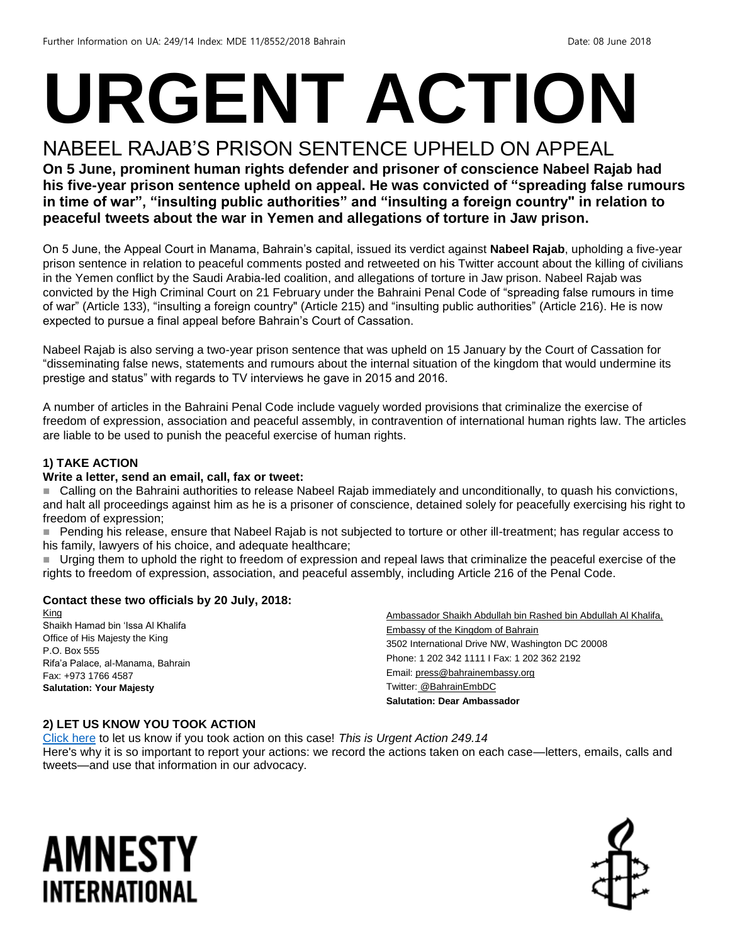# **URGENT ACTION**

#### NABEEL RAJAB'S PRISON SENTENCE UPHELD ON APPEAL

**On 5 June, prominent human rights defender and prisoner of conscience Nabeel Rajab had his five-year prison sentence upheld on appeal. He was convicted of "spreading false rumours in time of war", "insulting public authorities" and "insulting a foreign country" in relation to peaceful tweets about the war in Yemen and allegations of torture in Jaw prison.**

On 5 June, the Appeal Court in Manama, Bahrain's capital, issued its verdict against **Nabeel Rajab**, upholding a five-year prison sentence in relation to peaceful comments posted and retweeted on his Twitter account about the killing of civilians in the Yemen conflict by the Saudi Arabia-led coalition, and allegations of torture in Jaw prison. Nabeel Rajab was convicted by the High Criminal Court on 21 February under the Bahraini Penal Code of "spreading false rumours in time of war" (Article 133), "insulting a foreign country" (Article 215) and "insulting public authorities" (Article 216). He is now expected to pursue a final appeal before Bahrain's Court of Cassation.

Nabeel Rajab is also serving a two-year prison sentence that was upheld on 15 January by the Court of Cassation for "disseminating false news, statements and rumours about the internal situation of the kingdom that would undermine its prestige and status" with regards to TV interviews he gave in 2015 and 2016.

A number of articles in the Bahraini Penal Code include vaguely worded provisions that criminalize the exercise of freedom of expression, association and peaceful assembly, in contravention of international human rights law. The articles are liable to be used to punish the peaceful exercise of human rights.

#### **1) TAKE ACTION**

#### **Write a letter, send an email, call, fax or tweet:**

■ Calling on the Bahraini authorities to release Nabeel Rajab immediately and unconditionally, to quash his convictions, and halt all proceedings against him as he is a prisoner of conscience, detained solely for peacefully exercising his right to freedom of expression;

 Pending his release, ensure that Nabeel Rajab is not subjected to torture or other ill-treatment; has regular access to his family, lawyers of his choice, and adequate healthcare;

 Urging them to uphold the right to freedom of expression and repeal laws that criminalize the peaceful exercise of the rights to freedom of expression, association, and peaceful assembly, including Article 216 of the Penal Code.

#### **Contact these two officials by 20 July, 2018:**

King Shaikh Hamad bin 'Issa Al Khalifa Office of His Majesty the King P.O. Box 555 Rifa'a Palace, al-Manama, Bahrain Fax: +973 1766 4587 **Salutation: Your Majesty**

Ambassador Shaikh Abdullah bin Rashed bin Abdullah Al Khalifa, Embassy of the Kingdom of Bahrain 3502 International Drive NW, Washington DC 20008 Phone: 1 202 342 1111 I Fax: 1 202 362 2192 Email[: press@bahrainembassy.org](mailto:press@bahrainembassy.org) Twitter: [@BahrainEmbDC](https://twitter.com/BahrainEmbDC?ref_src=twsrc%5Egoogle%7Ctwcamp%5Eserp%7Ctwgr%5Eauthor) **Salutation: Dear Ambassador**

#### **2) LET US KNOW YOU TOOK ACTION**

[Click here](https://www.amnestyusa.org/report-urgent-actions/) to let us know if you took action on this case! *This is Urgent Action 249.14* Here's why it is so important to report your actions: we record the actions taken on each case—letters, emails, calls and tweets—and use that information in our advocacy.

### AMNESTY INTERNATIONAL